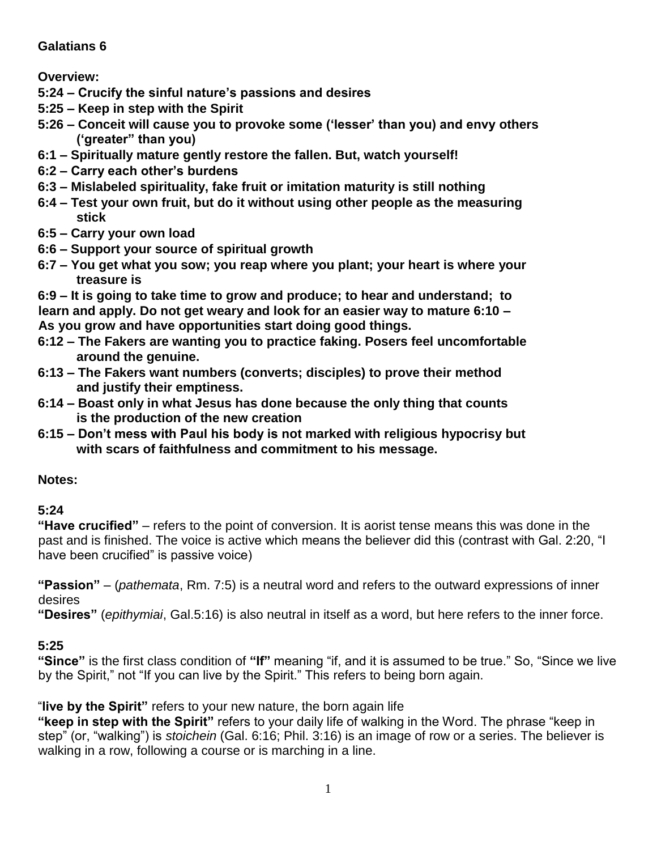## **Galatians 6**

**Overview:** 

- **5:24 – Crucify the sinful nature's passions and desires**
- **5:25 – Keep in step with the Spirit**
- **5:26 – Conceit will cause you to provoke some ('lesser' than you) and envy others ('greater" than you)**
- **6:1 – Spiritually mature gently restore the fallen. But, watch yourself!**
- **6:2 – Carry each other's burdens**
- **6:3 – Mislabeled spirituality, fake fruit or imitation maturity is still nothing**
- **6:4 – Test your own fruit, but do it without using other people as the measuring stick**
- **6:5 – Carry your own load**
- **6:6 – Support your source of spiritual growth**
- **6:7 – You get what you sow; you reap where you plant; your heart is where your treasure is**
- **6:9 – It is going to take time to grow and produce; to hear and understand; to learn and apply. Do not get weary and look for an easier way to mature 6:10 – As you grow and have opportunities start doing good things.**
- **6:12 – The Fakers are wanting you to practice faking. Posers feel uncomfortable around the genuine.**
- **6:13 – The Fakers want numbers (converts; disciples) to prove their method and justify their emptiness.**
- **6:14 – Boast only in what Jesus has done because the only thing that counts is the production of the new creation**
- **6:15 – Don't mess with Paul his body is not marked with religious hypocrisy but with scars of faithfulness and commitment to his message.**

# **Notes:**

## **5:24**

**"Have crucified"** – refers to the point of conversion. It is aorist tense means this was done in the past and is finished. The voice is active which means the believer did this (contrast with Gal. 2:20, "I have been crucified" is passive voice)

**"Passion"** – (*pathemata*, Rm. 7:5) is a neutral word and refers to the outward expressions of inner desires

**"Desires"** (*epithymiai*, Gal.5:16) is also neutral in itself as a word, but here refers to the inner force.

# **5:25**

**"Since"** is the first class condition of **"If"** meaning "if, and it is assumed to be true." So, "Since we live by the Spirit," not "If you can live by the Spirit." This refers to being born again.

"**live by the Spirit"** refers to your new nature, the born again life

**"keep in step with the Spirit"** refers to your daily life of walking in the Word. The phrase "keep in step" (or, "walking") is *stoichein* (Gal. 6:16; Phil. 3:16) is an image of row or a series. The believer is walking in a row, following a course or is marching in a line.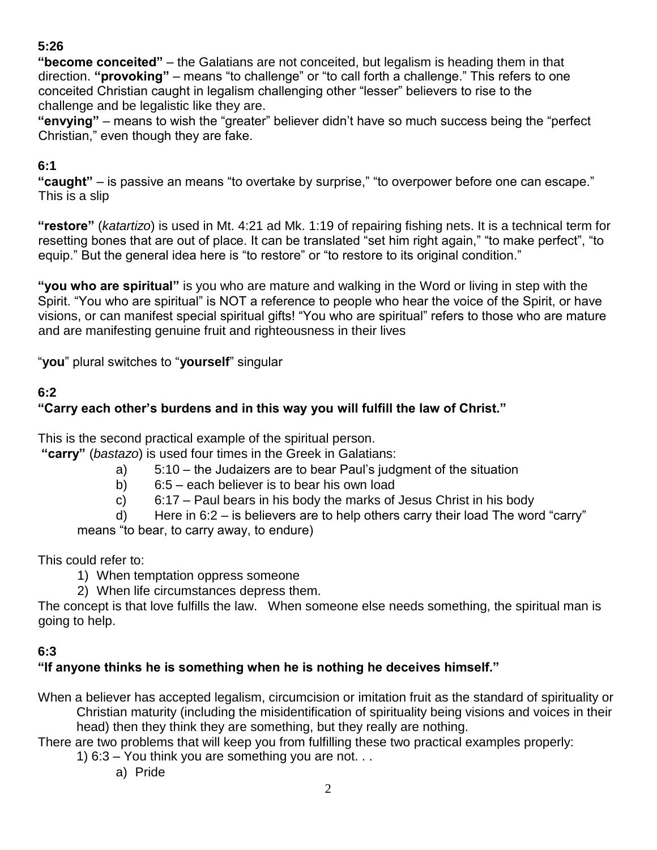## **5:26**

**"become conceited"** – the Galatians are not conceited, but legalism is heading them in that direction. **"provoking"** – means "to challenge" or "to call forth a challenge." This refers to one conceited Christian caught in legalism challenging other "lesser" believers to rise to the challenge and be legalistic like they are.

**"envying"** – means to wish the "greater" believer didn't have so much success being the "perfect Christian," even though they are fake.

## **6:1**

**"caught"** – is passive an means "to overtake by surprise," "to overpower before one can escape." This is a slip

**"restore"** (*katartizo*) is used in Mt. 4:21 ad Mk. 1:19 of repairing fishing nets. It is a technical term for resetting bones that are out of place. It can be translated "set him right again," "to make perfect", "to equip." But the general idea here is "to restore" or "to restore to its original condition."

**"you who are spiritual"** is you who are mature and walking in the Word or living in step with the Spirit. "You who are spiritual" is NOT a reference to people who hear the voice of the Spirit, or have visions, or can manifest special spiritual gifts! "You who are spiritual" refers to those who are mature and are manifesting genuine fruit and righteousness in their lives

"**you**" plural switches to "**yourself**" singular

## **6:2**

### **"Carry each other's burdens and in this way you will fulfill the law of Christ."**

This is the second practical example of the spiritual person.

**"carry"** (*bastazo*) is used four times in the Greek in Galatians:

- a) 5:10 the Judaizers are to bear Paul's judgment of the situation
- b) 6:5 each believer is to bear his own load
- c) 6:17 Paul bears in his body the marks of Jesus Christ in his body
- d) Here in 6:2 is believers are to help others carry their load The word "carry"

means "to bear, to carry away, to endure)

This could refer to:

- 1) When temptation oppress someone
- 2) When life circumstances depress them.

The concept is that love fulfills the law. When someone else needs something, the spiritual man is going to help.

## **6:3**

## **"If anyone thinks he is something when he is nothing he deceives himself."**

When a believer has accepted legalism, circumcision or imitation fruit as the standard of spirituality or Christian maturity (including the misidentification of spirituality being visions and voices in their head) then they think they are something, but they really are nothing.

There are two problems that will keep you from fulfilling these two practical examples properly:

- 1) 6:3 You think you are something you are not. . .
	- a) Pride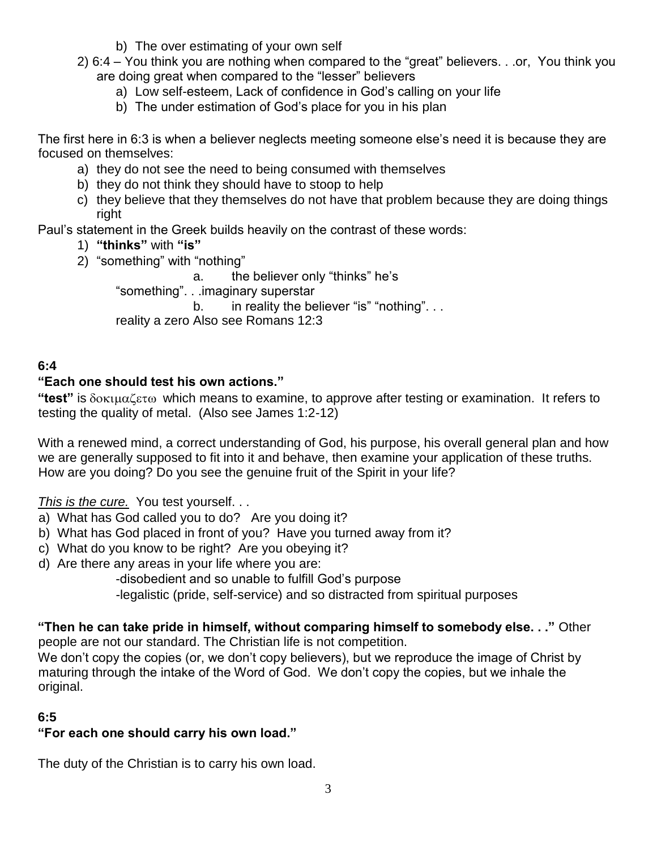- b) The over estimating of your own self
- 2) 6:4 You think you are nothing when compared to the "great" believers. . .or, You think you are doing great when compared to the "lesser" believers
	- a) Low self-esteem, Lack of confidence in God's calling on your life
	- b) The under estimation of God's place for you in his plan

The first here in 6:3 is when a believer neglects meeting someone else's need it is because they are focused on themselves:

- a) they do not see the need to being consumed with themselves
- b) they do not think they should have to stoop to help
- c) they believe that they themselves do not have that problem because they are doing things right

Paul's statement in the Greek builds heavily on the contrast of these words:

- 1) **"thinks"** with **"is"**
- 2) "something" with "nothing"
	- a. the believer only "thinks" he's

"something". . .imaginary superstar

b. in reality the believer "is" "nothing"...

reality a zero Also see Romans 12:3

### **6:4**

### **"Each one should test his own actions."**

**"test"** is δοκιμαζετω which means to examine, to approve after testing or examination. It refers to testing the quality of metal. (Also see James 1:2-12)

With a renewed mind, a correct understanding of God, his purpose, his overall general plan and how we are generally supposed to fit into it and behave, then examine your application of these truths. How are you doing? Do you see the genuine fruit of the Spirit in your life?

## *This is the cure.* You test yourself. . .

a) What has God called you to do? Are you doing it?

- b) What has God placed in front of you? Have you turned away from it?
- c) What do you know to be right? Are you obeying it?
- d) Are there any areas in your life where you are:

-disobedient and so unable to fulfill God's purpose

-legalistic (pride, self-service) and so distracted from spiritual purposes

# **"Then he can take pride in himself, without comparing himself to somebody else. . ."** Other

people are not our standard. The Christian life is not competition.

We don't copy the copies (or, we don't copy believers), but we reproduce the image of Christ by maturing through the intake of the Word of God. We don't copy the copies, but we inhale the original.

## **6:5**

## **"For each one should carry his own load."**

The duty of the Christian is to carry his own load.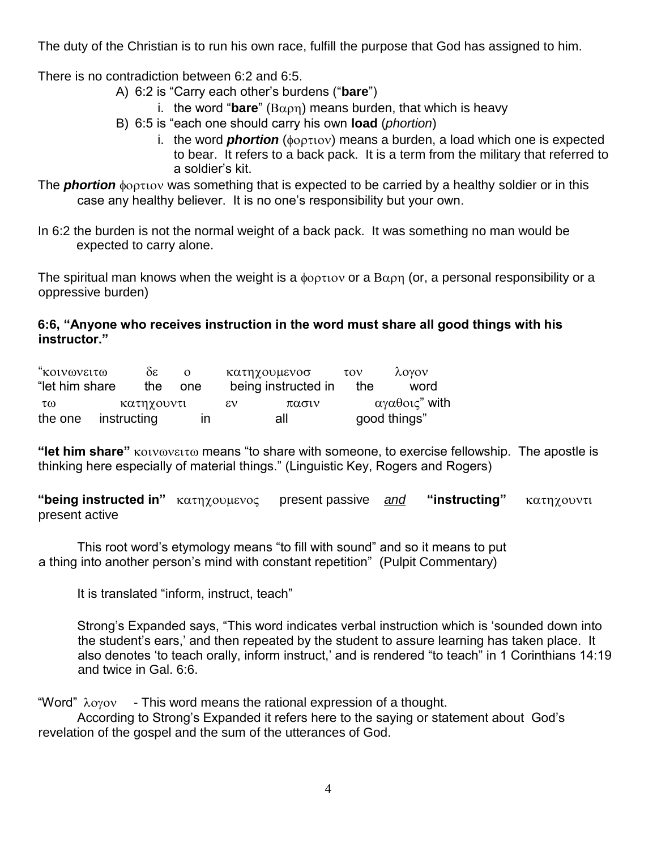The duty of the Christian is to run his own race, fulfill the purpose that God has assigned to him.

There is no contradiction between 6:2 and 6:5.

- A) 6:2 is "Carry each other's burdens ("**bare**")
	- i. the word "**bare**" ( $B\alpha\rho\eta$ ) means burden, that which is heavy
- B) 6:5 is "each one should carry his own **load** (*phortion*)
	- i. the word **phortion** ( $\phi$ <sup>o</sup>ptiov) means a burden, a load which one is expected to bear. It refers to a back pack. It is a term from the military that referred to a soldier's kit.
- The **phortion**  $\phi$ <sup>o</sup>  $\rho$ <sub>tio</sub> was something that is expected to be carried by a healthy soldier or in this case any healthy believer. It is no one's responsibility but your own.
- In 6:2 the burden is not the normal weight of a back pack. It was something no man would be expected to carry alone.

The spiritual man knows when the weight is a  $\phi$  optrov or a  $B\alpha\rho\eta$  (or, a personal responsibility or a oppressive burden)

#### **6:6, "Anyone who receives instruction in the word must share all good things with his instructor."**

| "κοινωνειτω    |             | ðε   | $\Omega$ |                     | κατηχουμενοσ | $\tau$ ov     | λογον        |
|----------------|-------------|------|----------|---------------------|--------------|---------------|--------------|
| "let him share |             | the. | one      | being instructed in |              | the.          | word         |
| τω             | κατηγουντι  |      |          | εv                  | πασιν        | αγαθοις" with |              |
| the one        | instructing |      |          |                     | all          |               | good things" |

**"let him share"** *κοινωνειτω* means "to share with someone, to exercise fellowship. The apostle is thinking here especially of material things." (Linguistic Key, Rogers and Rogers)

"being instructed in" κατηχουμενος present passive and "instructing" κατηχουντι present active

This root word's etymology means "to fill with sound" and so it means to put a thing into another person's mind with constant repetition" (Pulpit Commentary)

It is translated "inform, instruct, teach"

Strong's Expanded says, "This word indicates verbal instruction which is 'sounded down into the student's ears,' and then repeated by the student to assure learning has taken place. It also denotes 'to teach orally, inform instruct,' and is rendered "to teach" in 1 Corinthians 14:19 and twice in Gal. 6:6.

"Word"  $\lambda$ oyov - This word means the rational expression of a thought.

According to Strong's Expanded it refers here to the saying or statement about God's revelation of the gospel and the sum of the utterances of God.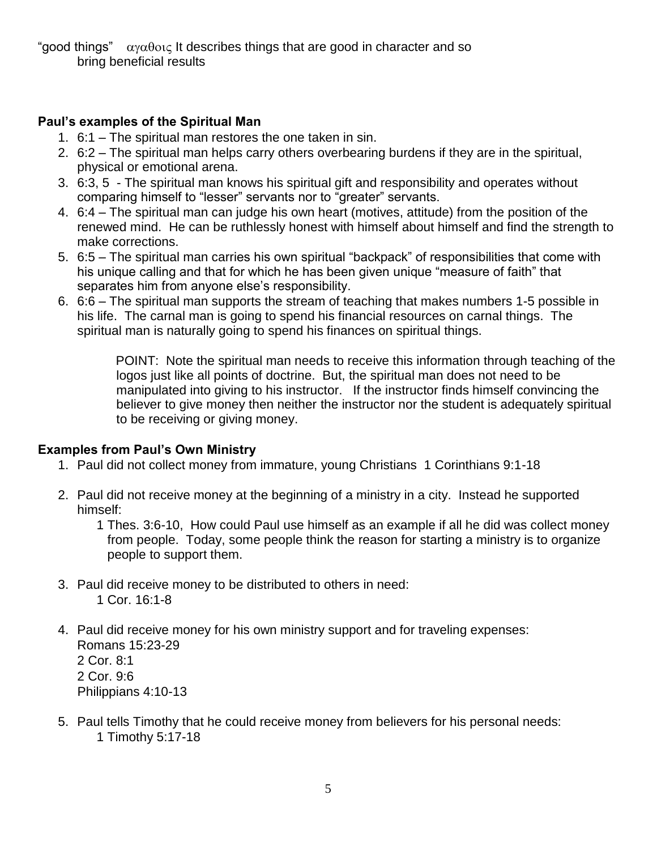"good things"  $\alpha\gamma\alpha\theta$ oug It describes things that are good in character and so bring beneficial results

### **Paul's examples of the Spiritual Man**

- 1. 6:1 The spiritual man restores the one taken in sin.
- 2. 6:2 The spiritual man helps carry others overbearing burdens if they are in the spiritual, physical or emotional arena.
- 3. 6:3, 5 The spiritual man knows his spiritual gift and responsibility and operates without comparing himself to "lesser" servants nor to "greater" servants.
- 4. 6:4 The spiritual man can judge his own heart (motives, attitude) from the position of the renewed mind. He can be ruthlessly honest with himself about himself and find the strength to make corrections.
- 5. 6:5 The spiritual man carries his own spiritual "backpack" of responsibilities that come with his unique calling and that for which he has been given unique "measure of faith" that separates him from anyone else's responsibility.
- 6. 6:6 The spiritual man supports the stream of teaching that makes numbers 1-5 possible in his life. The carnal man is going to spend his financial resources on carnal things. The spiritual man is naturally going to spend his finances on spiritual things.

POINT: Note the spiritual man needs to receive this information through teaching of the logos just like all points of doctrine. But, the spiritual man does not need to be manipulated into giving to his instructor. If the instructor finds himself convincing the believer to give money then neither the instructor nor the student is adequately spiritual to be receiving or giving money.

#### **Examples from Paul's Own Ministry**

- 1. Paul did not collect money from immature, young Christians 1 Corinthians 9:1-18
- 2. Paul did not receive money at the beginning of a ministry in a city. Instead he supported himself:

1 Thes. 3:6-10, How could Paul use himself as an example if all he did was collect money from people. Today, some people think the reason for starting a ministry is to organize people to support them.

- 3. Paul did receive money to be distributed to others in need: 1 Cor. 16:1-8
- 4. Paul did receive money for his own ministry support and for traveling expenses: Romans 15:23-29 2 Cor. 8:1 2 Cor. 9:6 Philippians 4:10-13
- 5. Paul tells Timothy that he could receive money from believers for his personal needs: 1 Timothy 5:17-18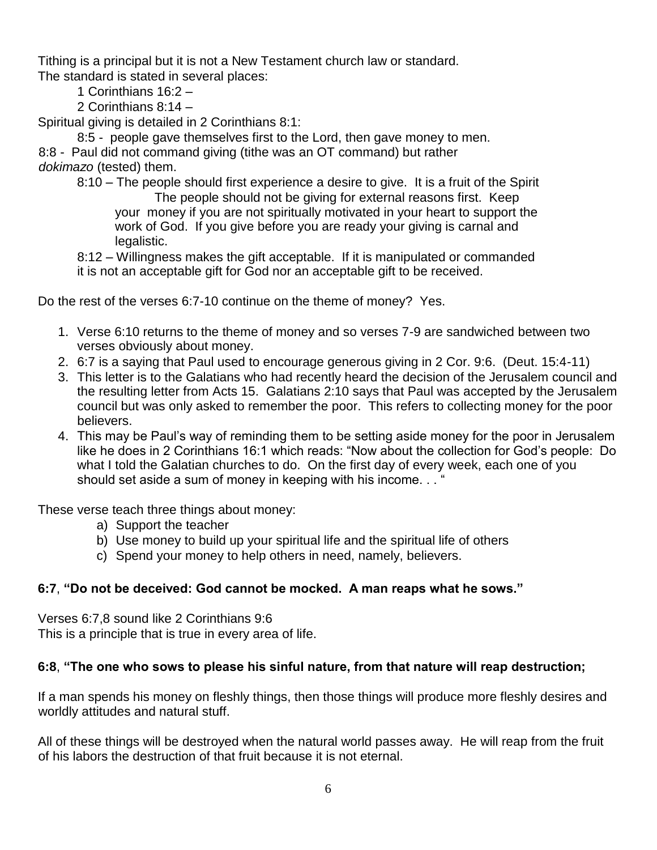Tithing is a principal but it is not a New Testament church law or standard. The standard is stated in several places:

1 Corinthians 16:2 –

2 Corinthians 8:14 –

Spiritual giving is detailed in 2 Corinthians 8:1:

8:5 - people gave themselves first to the Lord, then gave money to men.

8:8 - Paul did not command giving (tithe was an OT command) but rather *dokimazo* (tested) them.

8:10 – The people should first experience a desire to give. It is a fruit of the Spirit The people should not be giving for external reasons first. Keep your money if you are not spiritually motivated in your heart to support the work of God. If you give before you are ready your giving is carnal and legalistic.

8:12 – Willingness makes the gift acceptable. If it is manipulated or commanded it is not an acceptable gift for God nor an acceptable gift to be received.

Do the rest of the verses 6:7-10 continue on the theme of money? Yes.

- 1. Verse 6:10 returns to the theme of money and so verses 7-9 are sandwiched between two verses obviously about money.
- 2. 6:7 is a saying that Paul used to encourage generous giving in 2 Cor. 9:6. (Deut. 15:4-11)
- 3. This letter is to the Galatians who had recently heard the decision of the Jerusalem council and the resulting letter from Acts 15. Galatians 2:10 says that Paul was accepted by the Jerusalem council but was only asked to remember the poor. This refers to collecting money for the poor believers.
- 4. This may be Paul's way of reminding them to be setting aside money for the poor in Jerusalem like he does in 2 Corinthians 16:1 which reads: "Now about the collection for God's people: Do what I told the Galatian churches to do. On the first day of every week, each one of you should set aside a sum of money in keeping with his income. . . "

These verse teach three things about money:

- a) Support the teacher
- b) Use money to build up your spiritual life and the spiritual life of others
- c) Spend your money to help others in need, namely, believers.

### **6:7**, **"Do not be deceived: God cannot be mocked. A man reaps what he sows."**

Verses 6:7,8 sound like 2 Corinthians 9:6 This is a principle that is true in every area of life.

#### **6:8**, **"The one who sows to please his sinful nature, from that nature will reap destruction;**

If a man spends his money on fleshly things, then those things will produce more fleshly desires and worldly attitudes and natural stuff.

All of these things will be destroyed when the natural world passes away. He will reap from the fruit of his labors the destruction of that fruit because it is not eternal.